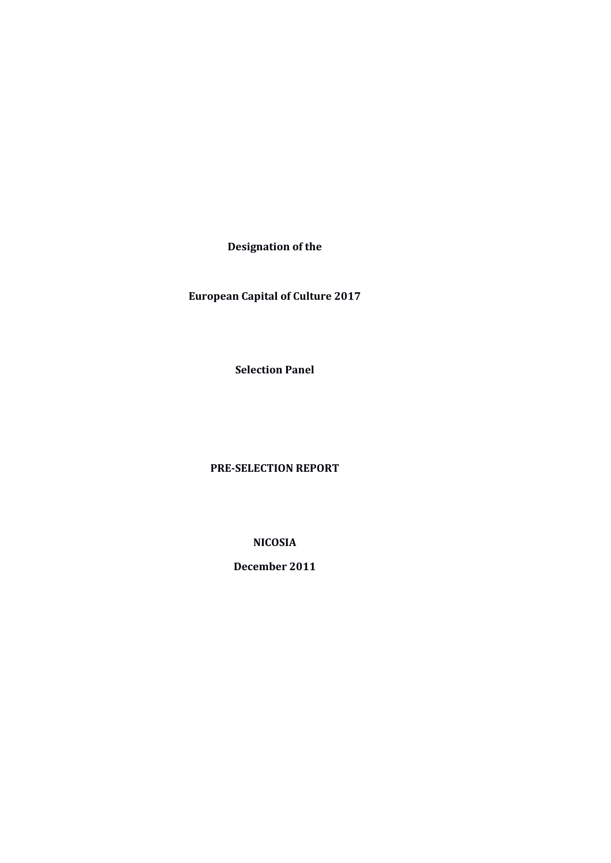**Designation of the**

 **European Capital of Culture 2017** 

**Selection Panel**

**PRE-SELECTION REPORT**

**NICOSIA**

**December 2011**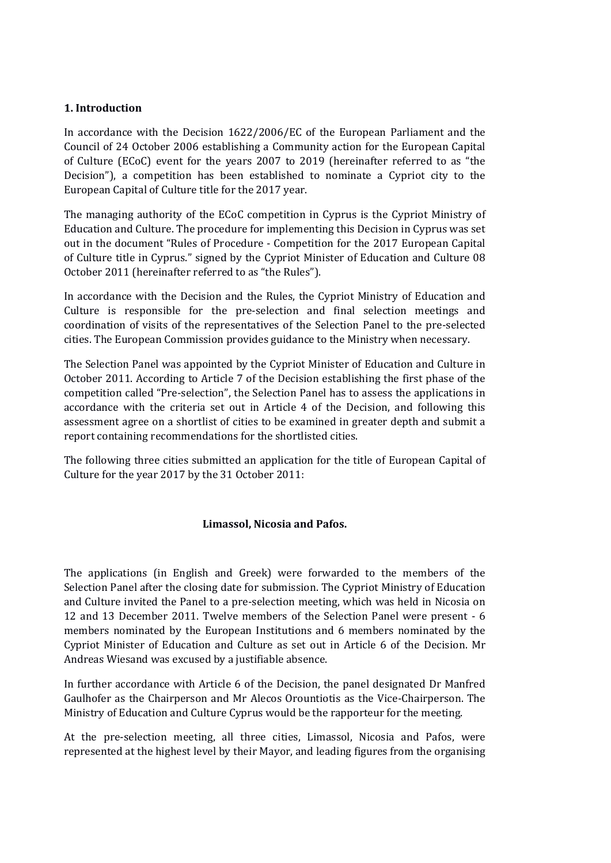## **1. Introduction**

In accordance with the Decision 1622/2006/EC of the European Parliament and the Council of 24 October 2006 establishing a Community action for the European Capital of Culture (ECoC) event for the years 2007 to 2019 (hereinafter referred to as "the Decision"), a competition has been established to nominate a Cypriot city to the European Capital of Culture title for the 2017 year.

The managing authority of the ECoC competition in Cyprus is the Cypriot Ministry of Education and Culture. The procedure for implementing this Decision in Cyprus was set out in the document "Rules of Procedure - Competition for the 2017 European Capital of Culture title in Cyprus." signed by the Cypriot Minister of Education and Culture 08 October 2011 (hereinafter referred to as "the Rules").

In accordance with the Decision and the Rules, the Cypriot Ministry of Education and Culture is responsible for the pre-selection and final selection meetings and coordination of visits of the representatives of the Selection Panel to the pre-selected cities. The European Commission provides guidance to the Ministry when necessary.

The Selection Panel was appointed by the Cypriot Minister of Education and Culture in October 2011. According to Article 7 of the Decision establishing the first phase of the competition called "Pre-selection", the Selection Panel has to assess the applications in accordance with the criteria set out in Article 4 of the Decision, and following this assessment agree on a shortlist of cities to be examined in greater depth and submit a report containing recommendations for the shortlisted cities.

The following three cities submitted an application for the title of European Capital of Culture for the year 2017 by the 31 October 2011:

## **Limassol, Nicosia and Pafos.**

The applications (in English and Greek) were forwarded to the members of the Selection Panel after the closing date for submission. The Cypriot Ministry of Education and Culture invited the Panel to a pre-selection meeting, which was held in Nicosia on 12 and 13 December 2011. Twelve members of the Selection Panel were present - 6 members nominated by the European Institutions and 6 members nominated by the Cypriot Minister of Education and Culture as set out in Article 6 of the Decision. Mr Andreas Wiesand was excused by a justifiable absence.

In further accordance with Article 6 of the Decision, the panel designated Dr Manfred Gaulhofer as the Chairperson and Mr Alecos Orountiotis as the Vice-Chairperson. The Ministry of Education and Culture Cyprus would be the rapporteur for the meeting.

At the pre-selection meeting, all three cities, Limassol, Nicosia and Pafos, were represented at the highest level by their Mayor, and leading figures from the organising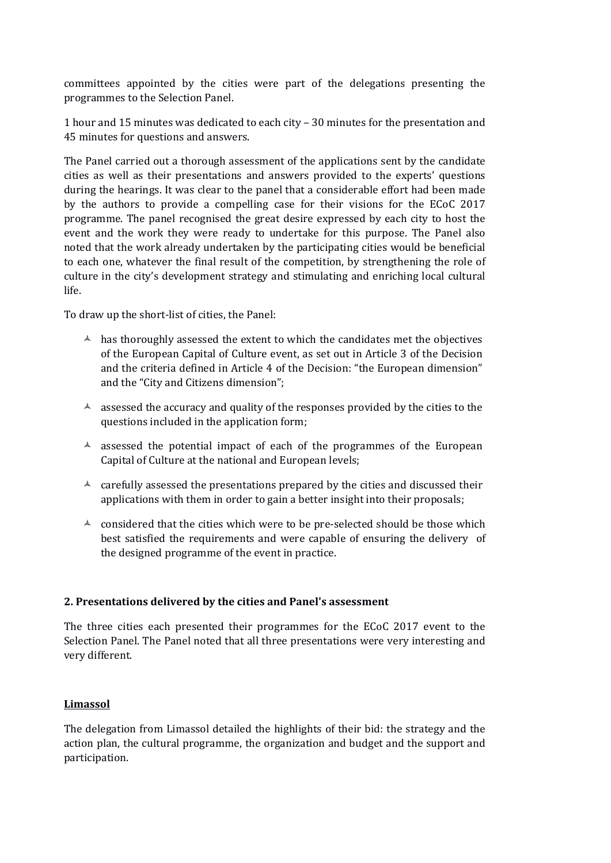committees appointed by the cities were part of the delegations presenting the programmes to the Selection Panel.

1 hour and 15 minutes was dedicated to each city – 30 minutes for the presentation and 45 minutes for questions and answers.

The Panel carried out a thorough assessment of the applications sent by the candidate cities as well as their presentations and answers provided to the experts' questions during the hearings. It was clear to the panel that a considerable effort had been made by the authors to provide a compelling case for their visions for the ECoC 2017 programme. The panel recognised the great desire expressed by each city to host the event and the work they were ready to undertake for this purpose. The Panel also noted that the work already undertaken by the participating cities would be beneficial to each one, whatever the final result of the competition, by strengthening the role of culture in the city's development strategy and stimulating and enriching local cultural life.

To draw up the short-list of cities, the Panel:

- $\lambda$  has thoroughly assessed the extent to which the candidates met the objectives of the European Capital of Culture event, as set out in Article 3 of the Decision and the criteria defined in Article 4 of the Decision: "the European dimension" and the "City and Citizens dimension";
- $\triangle$  assessed the accuracy and quality of the responses provided by the cities to the questions included in the application form;
- $\triangle$  assessed the potential impact of each of the programmes of the European Capital of Culture at the national and European levels;
- $\triangle$  carefully assessed the presentations prepared by the cities and discussed their applications with them in order to gain a better insight into their proposals;
- $\triangle$  considered that the cities which were to be pre-selected should be those which best satisfied the requirements and were capable of ensuring the delivery of the designed programme of the event in practice.

# **2. Presentations delivered by the cities and Panel's assessment**

The three cities each presented their programmes for the ECoC 2017 event to the Selection Panel. The Panel noted that all three presentations were very interesting and very different.

# **Limassol**

The delegation from Limassol detailed the highlights of their bid: the strategy and the action plan, the cultural programme, the organization and budget and the support and participation.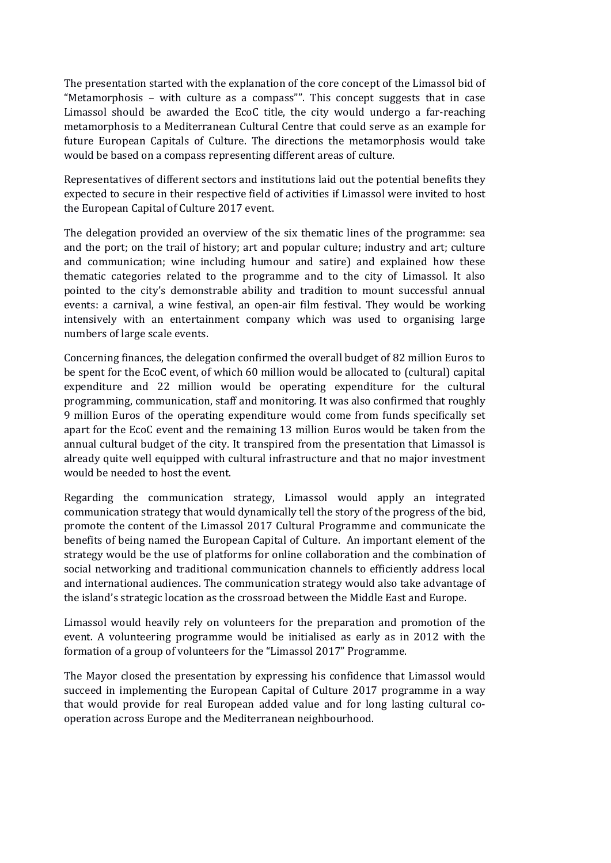The presentation started with the explanation of the core concept of the Limassol bid of "Metamorphosis – with culture as a compass"". This concept suggests that in case Limassol should be awarded the EcoC title, the city would undergo a far-reaching metamorphosis to a Mediterranean Cultural Centre that could serve as an example for future European Capitals of Culture. The directions the metamorphosis would take would be based on a compass representing different areas of culture.

Representatives of different sectors and institutions laid out the potential benefits they expected to secure in their respective field of activities if Limassol were invited to host the European Capital of Culture 2017 event.

The delegation provided an overview of the six thematic lines of the programme: sea and the port; on the trail of history; art and popular culture; industry and art; culture and communication; wine including humour and satire) and explained how these thematic categories related to the programme and to the city of Limassol. It also pointed to the city's demonstrable ability and tradition to mount successful annual events: a carnival, a wine festival, an open-air film festival. They would be working intensively with an entertainment company which was used to organising large numbers of large scale events.

Concerning finances, the delegation confirmed the overall budget of 82 million Euros to be spent for the EcoC event, of which 60 million would be allocated to (cultural) capital expenditure and 22 million would be operating expenditure for the cultural programming, communication, staff and monitoring. It was also confirmed that roughly 9 million Euros of the operating expenditure would come from funds specifically set apart for the EcoC event and the remaining 13 million Euros would be taken from the annual cultural budget of the city. It transpired from the presentation that Limassol is already quite well equipped with cultural infrastructure and that no major investment would be needed to host the event.

Regarding the communication strategy, Limassol would apply an integrated communication strategy that would dynamically tell the story of the progress of the bid, promote the content of the Limassol 2017 Cultural Programme and communicate the benefits of being named the European Capital of Culture. An important element of the strategy would be the use of platforms for online collaboration and the combination of social networking and traditional communication channels to efficiently address local and international audiences. The communication strategy would also take advantage of the island's strategic location as the crossroad between the Middle East and Europe.

Limassol would heavily rely on volunteers for the preparation and promotion of the event. A volunteering programme would be initialised as early as in 2012 with the formation of a group of volunteers for the "Limassol 2017" Programme.

The Mayor closed the presentation by expressing his confidence that Limassol would succeed in implementing the European Capital of Culture 2017 programme in a way that would provide for real European added value and for long lasting cultural cooperation across Europe and the Mediterranean neighbourhood.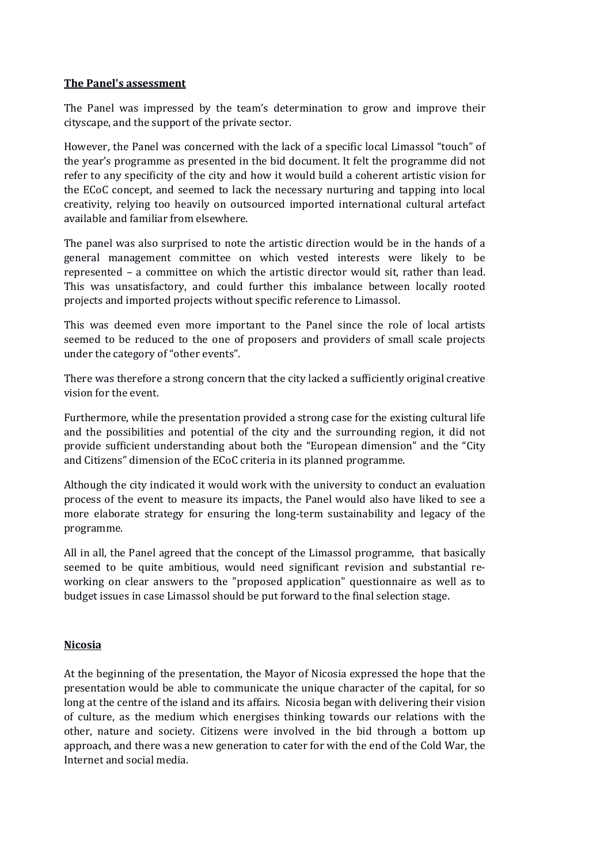## **The Panel's assessment**

The Panel was impressed by the team's determination to grow and improve their cityscape, and the support of the private sector.

However, the Panel was concerned with the lack of a specific local Limassol "touch" of the year's programme as presented in the bid document. It felt the programme did not refer to any specificity of the city and how it would build a coherent artistic vision for the ECoC concept, and seemed to lack the necessary nurturing and tapping into local creativity, relying too heavily on outsourced imported international cultural artefact available and familiar from elsewhere.

The panel was also surprised to note the artistic direction would be in the hands of a general management committee on which vested interests were likely to be represented – a committee on which the artistic director would sit, rather than lead. This was unsatisfactory, and could further this imbalance between locally rooted projects and imported projects without specific reference to Limassol.

This was deemed even more important to the Panel since the role of local artists seemed to be reduced to the one of proposers and providers of small scale projects under the category of "other events".

There was therefore a strong concern that the city lacked a sufficiently original creative vision for the event.

Furthermore, while the presentation provided a strong case for the existing cultural life and the possibilities and potential of the city and the surrounding region, it did not provide sufficient understanding about both the "European dimension" and the "City and Citizens" dimension of the ECoC criteria in its planned programme.

Although the city indicated it would work with the university to conduct an evaluation process of the event to measure its impacts, the Panel would also have liked to see a more elaborate strategy for ensuring the long-term sustainability and legacy of the programme.

All in all, the Panel agreed that the concept of the Limassol programme, that basically seemed to be quite ambitious, would need significant revision and substantial reworking on clear answers to the "proposed application" questionnaire as well as to budget issues in case Limassol should be put forward to the final selection stage.

## **Nicosia**

At the beginning of the presentation, the Mayor of Nicosia expressed the hope that the presentation would be able to communicate the unique character of the capital, for so long at the centre of the island and its affairs. Nicosia began with delivering their vision of culture, as the medium which energises thinking towards our relations with the other, nature and society. Citizens were involved in the bid through a bottom up approach, and there was a new generation to cater for with the end of the Cold War, the Internet and social media.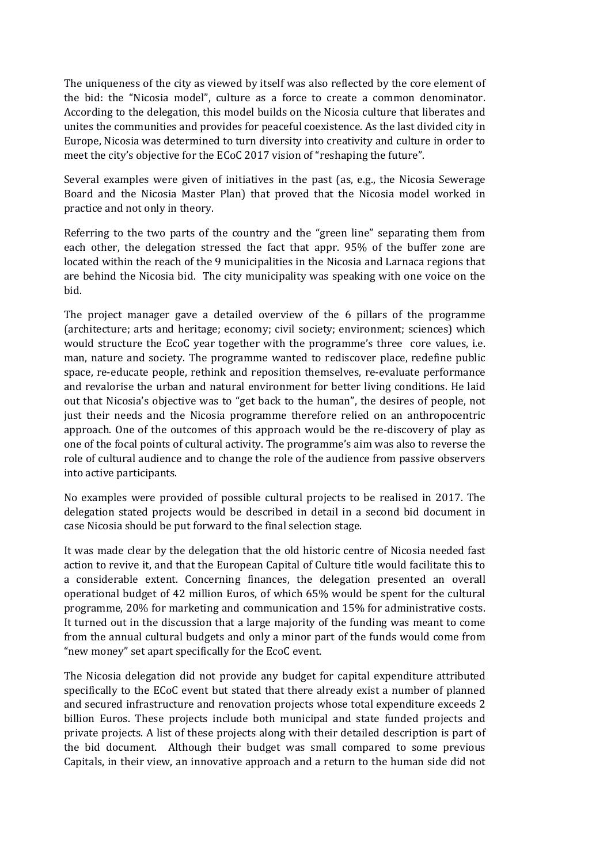The uniqueness of the city as viewed by itself was also reflected by the core element of the bid: the "Nicosia model", culture as a force to create a common denominator. According to the delegation, this model builds on the Nicosia culture that liberates and unites the communities and provides for peaceful coexistence. As the last divided city in Europe, Nicosia was determined to turn diversity into creativity and culture in order to meet the city's objective for the ECoC 2017 vision of "reshaping the future".

Several examples were given of initiatives in the past (as, e.g., the Nicosia Sewerage Board and the Nicosia Master Plan) that proved that the Nicosia model worked in practice and not only in theory.

Referring to the two parts of the country and the "green line" separating them from each other, the delegation stressed the fact that appr. 95% of the buffer zone are located within the reach of the 9 municipalities in the Nicosia and Larnaca regions that are behind the Nicosia bid. The city municipality was speaking with one voice on the bid.

The project manager gave a detailed overview of the 6 pillars of the programme (architecture; arts and heritage; economy; civil society; environment; sciences) which would structure the EcoC year together with the programme's three core values, i.e. man, nature and society. The programme wanted to rediscover place, redefine public space, re-educate people, rethink and reposition themselves, re-evaluate performance and revalorise the urban and natural environment for better living conditions. He laid out that Nicosia's objective was to "get back to the human", the desires of people, not just their needs and the Nicosia programme therefore relied on an anthropocentric approach. One of the outcomes of this approach would be the re-discovery of play as one of the focal points of cultural activity. The programme's aim was also to reverse the role of cultural audience and to change the role of the audience from passive observers into active participants.

No examples were provided of possible cultural projects to be realised in 2017. The delegation stated projects would be described in detail in a second bid document in case Nicosia should be put forward to the final selection stage.

It was made clear by the delegation that the old historic centre of Nicosia needed fast action to revive it, and that the European Capital of Culture title would facilitate this to a considerable extent. Concerning finances, the delegation presented an overall operational budget of 42 million Euros, of which 65% would be spent for the cultural programme, 20% for marketing and communication and 15% for administrative costs. It turned out in the discussion that a large majority of the funding was meant to come from the annual cultural budgets and only a minor part of the funds would come from "new money" set apart specifically for the EcoC event.

The Nicosia delegation did not provide any budget for capital expenditure attributed specifically to the ECoC event but stated that there already exist a number of planned and secured infrastructure and renovation projects whose total expenditure exceeds 2 billion Euros. These projects include both municipal and state funded projects and private projects. A list of these projects along with their detailed description is part of the bid document. Although their budget was small compared to some previous Capitals, in their view, an innovative approach and a return to the human side did not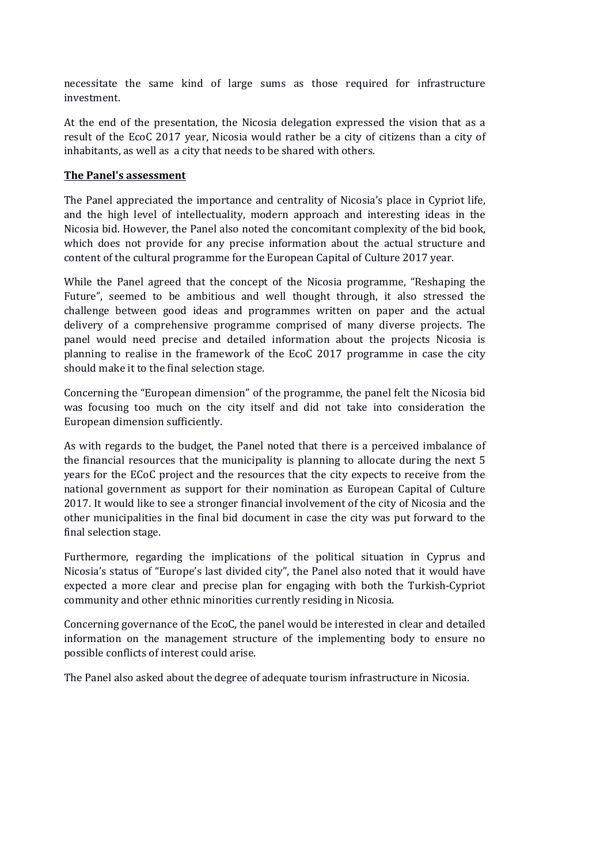necessitate the same kind of large sums as those required for infrastructure investment.

At the end of the presentation, the Nicosia delegation expressed the vision that as a result of the EcoC 2017 year, Nicosia would rather be a city of citizens than a city of inhabitants, as well as a city that needs to be shared with others.

## **The Panel's assessment**

The Panel appreciated the importance and centrality of Nicosia's place in Cypriot life, and the high level of intellectuality, modern approach and interesting ideas in the Nicosia bid. However, the Panel also noted the concomitant complexity of the bid book, which does not provide for any precise information about the actual structure and content of the cultural programme for the European Capital of Culture 2017 year.

While the Panel agreed that the concept of the Nicosia programme, "Reshaping the Future", seemed to be ambitious and well thought through, it also stressed the challenge between good ideas and programmes written on paper and the actual delivery of a comprehensive programme comprised of many diverse projects. The panel would need precise and detailed information about the projects Nicosia is planning to realise in the framework of the EcoC 2017 programme in case the city should make it to the final selection stage.

Concerning the "European dimension" of the programme, the panel felt the Nicosia bid was focusing too much on the city itself and did not take into consideration the European dimension sufficiently.

As with regards to the budget, the Panel noted that there is a perceived imbalance of the financial resources that the municipality is planning to allocate during the next 5 years for the ECoC project and the resources that the city expects to receive from the national government as support for their nomination as European Capital of Culture 2017. It would like to see a stronger financial involvement of the city of Nicosia and the other municipalities in the final bid document in case the city was put forward to the final selection stage.

Furthermore, regarding the implications of the political situation in Cyprus and Nicosia's status of "Europe's last divided city", the Panel also noted that it would have expected a more clear and precise plan for engaging with both the Turkish-Cypriot community and other ethnic minorities currently residing in Nicosia.

Concerning governance of the EcoC, the panel would be interested in clear and detailed information on the management structure of the implementing body to ensure no possible conflicts of interest could arise.

The Panel also asked about the degree of adequate tourism infrastructure in Nicosia.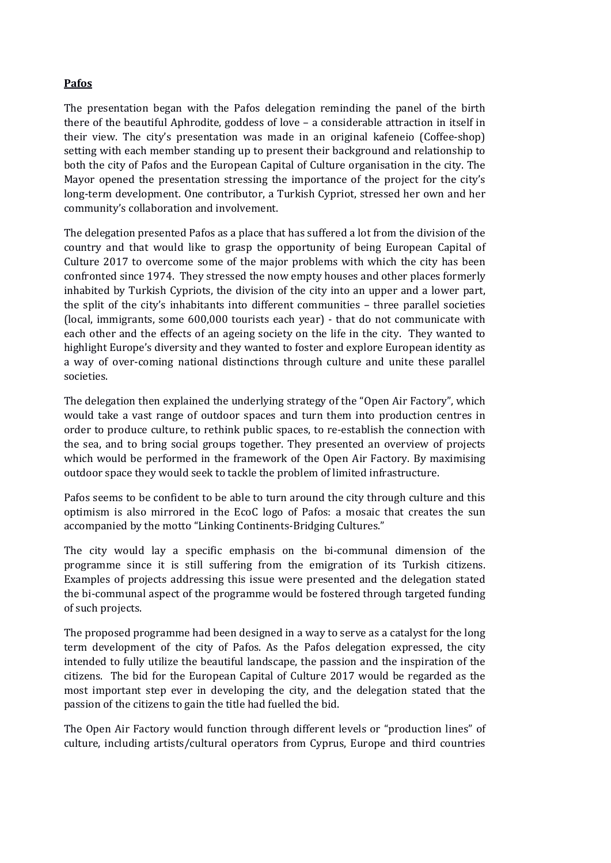# **Pafos**

The presentation began with the Pafos delegation reminding the panel of the birth there of the beautiful Aphrodite, goddess of love – a considerable attraction in itself in their view. The city's presentation was made in an original kafeneio (Coffee-shop) setting with each member standing up to present their background and relationship to both the city of Pafos and the European Capital of Culture organisation in the city. The Mayor opened the presentation stressing the importance of the project for the city's long-term development. One contributor, a Turkish Cypriot, stressed her own and her community's collaboration and involvement.

The delegation presented Pafos as a place that has suffered a lot from the division of the country and that would like to grasp the opportunity of being European Capital of Culture 2017 to overcome some of the major problems with which the city has been confronted since 1974. They stressed the now empty houses and other places formerly inhabited by Turkish Cypriots, the division of the city into an upper and a lower part, the split of the city's inhabitants into different communities – three parallel societies (local, immigrants, some 600,000 tourists each year) - that do not communicate with each other and the effects of an ageing society on the life in the city. They wanted to highlight Europe's diversity and they wanted to foster and explore European identity as a way of over-coming national distinctions through culture and unite these parallel societies.

The delegation then explained the underlying strategy of the "Open Air Factory", which would take a vast range of outdoor spaces and turn them into production centres in order to produce culture, to rethink public spaces, to re-establish the connection with the sea, and to bring social groups together. They presented an overview of projects which would be performed in the framework of the Open Air Factory. By maximising outdoor space they would seek to tackle the problem of limited infrastructure.

Pafos seems to be confident to be able to turn around the city through culture and this optimism is also mirrored in the EcoC logo of Pafos: a mosaic that creates the sun accompanied by the motto "Linking Continents-Bridging Cultures."

The city would lay a specific emphasis on the bi-communal dimension of the programme since it is still suffering from the emigration of its Turkish citizens. Examples of projects addressing this issue were presented and the delegation stated the bi-communal aspect of the programme would be fostered through targeted funding of such projects.

The proposed programme had been designed in a way to serve as a catalyst for the long term development of the city of Pafos. As the Pafos delegation expressed, the city intended to fully utilize the beautiful landscape, the passion and the inspiration of the citizens. The bid for the European Capital of Culture 2017 would be regarded as the most important step ever in developing the city, and the delegation stated that the passion of the citizens to gain the title had fuelled the bid.

The Open Air Factory would function through different levels or "production lines" of culture, including artists/cultural operators from Cyprus, Europe and third countries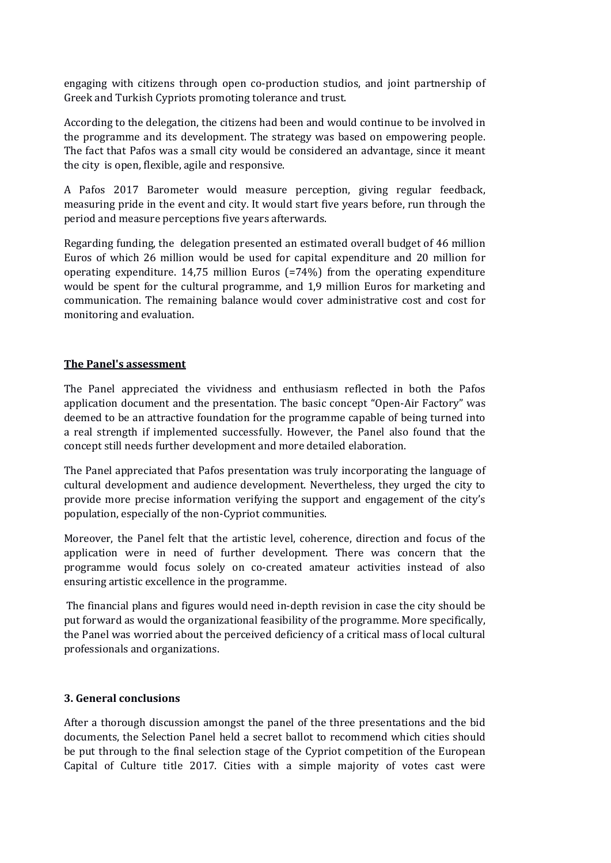engaging with citizens through open co-production studios, and joint partnership of Greek and Turkish Cypriots promoting tolerance and trust.

According to the delegation, the citizens had been and would continue to be involved in the programme and its development. The strategy was based on empowering people. The fact that Pafos was a small city would be considered an advantage, since it meant the city is open, flexible, agile and responsive.

A Pafos 2017 Barometer would measure perception, giving regular feedback, measuring pride in the event and city. It would start five years before, run through the period and measure perceptions five years afterwards.

Regarding funding, the delegation presented an estimated overall budget of 46 million Euros of which 26 million would be used for capital expenditure and 20 million for operating expenditure. 14,75 million Euros (=74%) from the operating expenditure would be spent for the cultural programme, and 1,9 million Euros for marketing and communication. The remaining balance would cover administrative cost and cost for monitoring and evaluation.

## **The Panel's assessment**

The Panel appreciated the vividness and enthusiasm reflected in both the Pafos application document and the presentation. The basic concept "Open-Air Factory" was deemed to be an attractive foundation for the programme capable of being turned into a real strength if implemented successfully. However, the Panel also found that the concept still needs further development and more detailed elaboration.

The Panel appreciated that Pafos presentation was truly incorporating the language of cultural development and audience development. Nevertheless, they urged the city to provide more precise information verifying the support and engagement of the city's population, especially of the non-Cypriot communities.

Moreover, the Panel felt that the artistic level, coherence, direction and focus of the application were in need of further development. There was concern that the programme would focus solely on co-created amateur activities instead of also ensuring artistic excellence in the programme.

 The financial plans and figures would need in-depth revision in case the city should be put forward as would the organizational feasibility of the programme. More specifically, the Panel was worried about the perceived deficiency of a critical mass of local cultural professionals and organizations.

# **3. General conclusions**

After a thorough discussion amongst the panel of the three presentations and the bid documents, the Selection Panel held a secret ballot to recommend which cities should be put through to the final selection stage of the Cypriot competition of the European Capital of Culture title 2017. Cities with a simple majority of votes cast were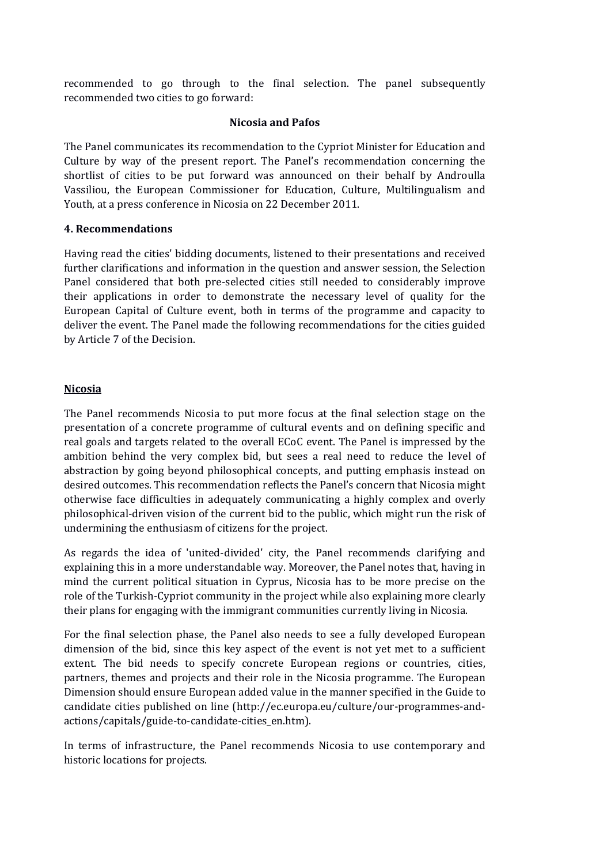recommended to go through to the final selection. The panel subsequently recommended two cities to go forward:

## **Nicosia and Pafos**

The Panel communicates its recommendation to the Cypriot Minister for Education and Culture by way of the present report. The Panel's recommendation concerning the shortlist of cities to be put forward was announced on their behalf by Androulla Vassiliou, the European Commissioner for Education, Culture, Multilingualism and Youth, at a press conference in Nicosia on 22 December 2011.

#### **4. Recommendations**

Having read the cities' bidding documents, listened to their presentations and received further clarifications and information in the question and answer session, the Selection Panel considered that both pre-selected cities still needed to considerably improve their applications in order to demonstrate the necessary level of quality for the European Capital of Culture event, both in terms of the programme and capacity to deliver the event. The Panel made the following recommendations for the cities guided by Article 7 of the Decision.

## **Nicosia**

The Panel recommends Nicosia to put more focus at the final selection stage on the presentation of a concrete programme of cultural events and on defining specific and real goals and targets related to the overall ECoC event. The Panel is impressed by the ambition behind the very complex bid, but sees a real need to reduce the level of abstraction by going beyond philosophical concepts, and putting emphasis instead on desired outcomes. This recommendation reflects the Panel's concern that Nicosia might otherwise face difficulties in adequately communicating a highly complex and overly philosophical-driven vision of the current bid to the public, which might run the risk of undermining the enthusiasm of citizens for the project.

As regards the idea of 'united-divided' city, the Panel recommends clarifying and explaining this in a more understandable way. Moreover, the Panel notes that, having in mind the current political situation in Cyprus, Nicosia has to be more precise on the role of the Turkish-Cypriot community in the project while also explaining more clearly their plans for engaging with the immigrant communities currently living in Nicosia.

For the final selection phase, the Panel also needs to see a fully developed European dimension of the bid, since this key aspect of the event is not yet met to a sufficient extent. The bid needs to specify concrete European regions or countries, cities, partners, themes and projects and their role in the Nicosia programme. The European Dimension should ensure European added value in the manner specified in the Guide to candidate cities published on line (http://ec.europa.eu/culture/our-programmes-andactions/capitals/guide-to-candidate-cities\_en.htm).

In terms of infrastructure, the Panel recommends Nicosia to use contemporary and historic locations for projects.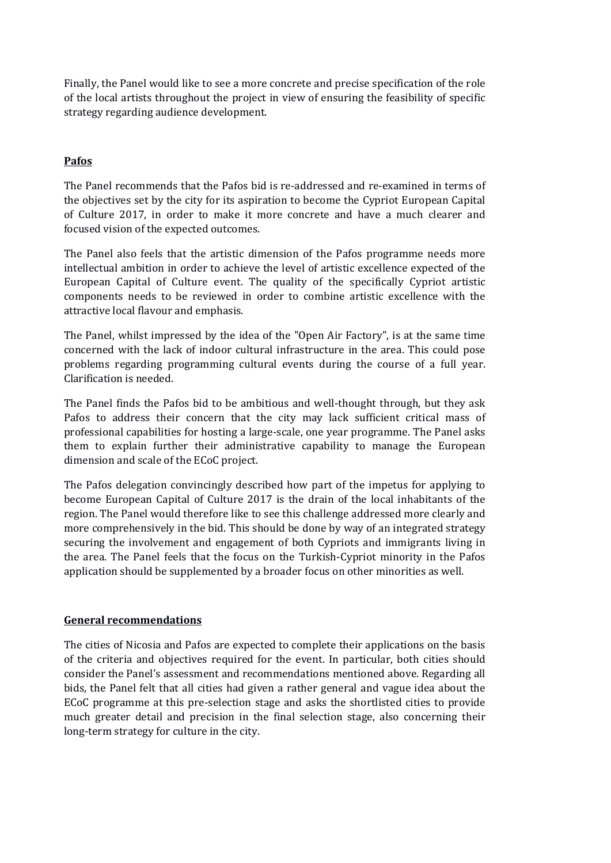Finally, the Panel would like to see a more concrete and precise specification of the role of the local artists throughout the project in view of ensuring the feasibility of specific strategy regarding audience development.

# **Pafos**

The Panel recommends that the Pafos bid is re-addressed and re-examined in terms of the objectives set by the city for its aspiration to become the Cypriot European Capital of Culture 2017, in order to make it more concrete and have a much clearer and focused vision of the expected outcomes.

The Panel also feels that the artistic dimension of the Pafos programme needs more intellectual ambition in order to achieve the level of artistic excellence expected of the European Capital of Culture event. The quality of the specifically Cypriot artistic components needs to be reviewed in order to combine artistic excellence with the attractive local flavour and emphasis.

The Panel, whilst impressed by the idea of the "Open Air Factory", is at the same time concerned with the lack of indoor cultural infrastructure in the area. This could pose problems regarding programming cultural events during the course of a full year. Clarification is needed.

The Panel finds the Pafos bid to be ambitious and well-thought through, but they ask Pafos to address their concern that the city may lack sufficient critical mass of professional capabilities for hosting a large-scale, one year programme. The Panel asks them to explain further their administrative capability to manage the European dimension and scale of the ECoC project.

The Pafos delegation convincingly described how part of the impetus for applying to become European Capital of Culture 2017 is the drain of the local inhabitants of the region. The Panel would therefore like to see this challenge addressed more clearly and more comprehensively in the bid. This should be done by way of an integrated strategy securing the involvement and engagement of both Cypriots and immigrants living in the area. The Panel feels that the focus on the Turkish-Cypriot minority in the Pafos application should be supplemented by a broader focus on other minorities as well.

## **General recommendations**

The cities of Nicosia and Pafos are expected to complete their applications on the basis of the criteria and objectives required for the event. In particular, both cities should consider the Panel's assessment and recommendations mentioned above. Regarding all bids, the Panel felt that all cities had given a rather general and vague idea about the ECoC programme at this pre-selection stage and asks the shortlisted cities to provide much greater detail and precision in the final selection stage, also concerning their long-term strategy for culture in the city.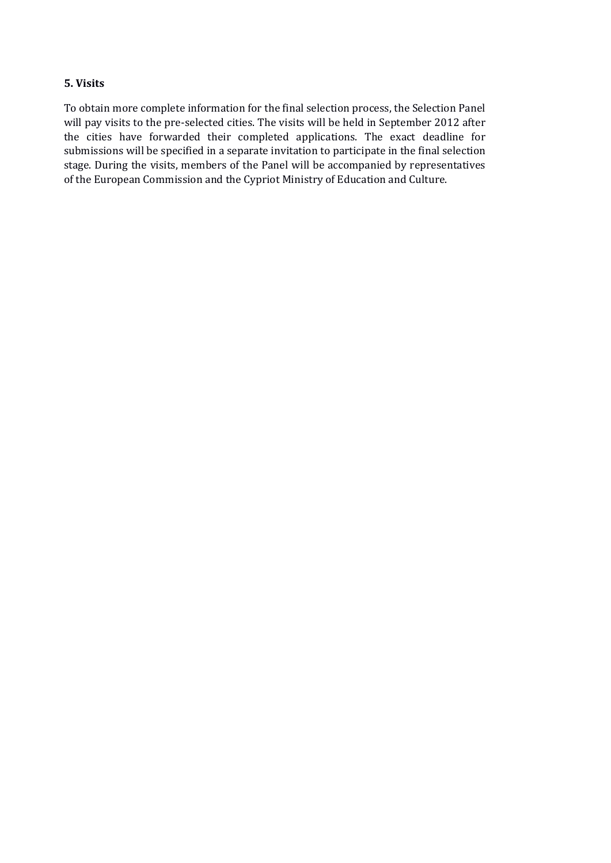# **5. Visits**

To obtain more complete information for the final selection process, the Selection Panel will pay visits to the pre-selected cities. The visits will be held in September 2012 after the cities have forwarded their completed applications. The exact deadline for submissions will be specified in a separate invitation to participate in the final selection stage. During the visits, members of the Panel will be accompanied by representatives of the European Commission and the Cypriot Ministry of Education and Culture.